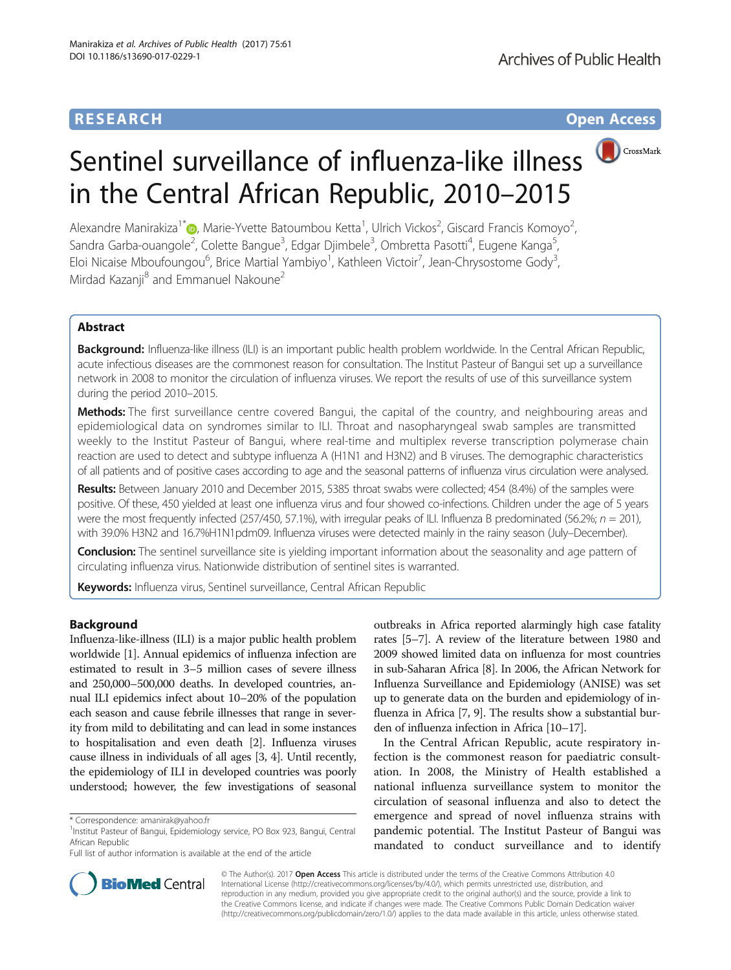# **RESEARCH CHE Open Access**

# Sentinel surveillance of influenza-like illness in the Central African Republic, 2010–2015

Alexandre Manirakiza<sup>1\*</sup> $\circledast$ [,](http://orcid.org/0000-0002-1873-8527) Marie-Yvette Batoumbou Ketta<sup>1</sup>, Ulrich Vickos<sup>2</sup>, Giscard Francis Komoyo<sup>2</sup> , Sandra Garba-ouangole<sup>2</sup>, Colette Bangue<sup>3</sup>, Edgar Djimbele<sup>3</sup>, Ombretta Pasotti<sup>4</sup>, Eugene Kanga<sup>5</sup> , Eloi Nicaise Mboufoungou<sup>6</sup>, Brice Martial Yambiyo<sup>1</sup>, Kathleen Victoir<sup>7</sup>, Jean-Chrysostome Gody<sup>3</sup> , Mirdad Kazanji<sup>8</sup> and Emmanuel Nakoune<sup>2</sup>

## Abstract

Background: Influenza-like illness (ILI) is an important public health problem worldwide. In the Central African Republic, acute infectious diseases are the commonest reason for consultation. The Institut Pasteur of Bangui set up a surveillance network in 2008 to monitor the circulation of influenza viruses. We report the results of use of this surveillance system during the period 2010–2015.

Methods: The first surveillance centre covered Bangui, the capital of the country, and neighbouring areas and epidemiological data on syndromes similar to ILI. Throat and nasopharyngeal swab samples are transmitted weekly to the Institut Pasteur of Bangui, where real-time and multiplex reverse transcription polymerase chain reaction are used to detect and subtype influenza A (H1N1 and H3N2) and B viruses. The demographic characteristics of all patients and of positive cases according to age and the seasonal patterns of influenza virus circulation were analysed.

Results: Between January 2010 and December 2015, 5385 throat swabs were collected; 454 (8.4%) of the samples were positive. Of these, 450 yielded at least one influenza virus and four showed co-infections. Children under the age of 5 years were the most frequently infected (257/450, 57.1%), with irregular peaks of ILI. Influenza B predominated (56.2%;  $n = 201$ ), with 39.0% H3N2 and 16.7%H1N1pdm09. Influenza viruses were detected mainly in the rainy season (July–December).

Conclusion: The sentinel surveillance site is yielding important information about the seasonality and age pattern of circulating influenza virus. Nationwide distribution of sentinel sites is warranted.

Keywords: Influenza virus, Sentinel surveillance, Central African Republic

## Background

Influenza-like-illness (ILI) is a major public health problem worldwide [[1\]](#page-5-0). Annual epidemics of influenza infection are estimated to result in 3–5 million cases of severe illness and 250,000–500,000 deaths. In developed countries, annual ILI epidemics infect about 10–20% of the population each season and cause febrile illnesses that range in severity from mild to debilitating and can lead in some instances to hospitalisation and even death [\[2\]](#page-5-0). Influenza viruses cause illness in individuals of all ages [[3, 4\]](#page-5-0). Until recently, the epidemiology of ILI in developed countries was poorly understood; however, the few investigations of seasonal

Full list of author information is available at the end of the article

outbreaks in Africa reported alarmingly high case fatality rates [[5](#page-5-0)–[7\]](#page-5-0). A review of the literature between 1980 and 2009 showed limited data on influenza for most countries in sub-Saharan Africa [[8\]](#page-5-0). In 2006, the African Network for Influenza Surveillance and Epidemiology (ANISE) was set up to generate data on the burden and epidemiology of influenza in Africa [\[7](#page-5-0), [9\]](#page-5-0). The results show a substantial burden of influenza infection in Africa [\[10](#page-5-0)–[17\]](#page-5-0).

In the Central African Republic, acute respiratory infection is the commonest reason for paediatric consultation. In 2008, the Ministry of Health established a national influenza surveillance system to monitor the circulation of seasonal influenza and also to detect the emergence and spread of novel influenza strains with pandemic potential. The Institut Pasteur of Bangui was mandated to conduct surveillance and to identify



© The Author(s). 2017 **Open Access** This article is distributed under the terms of the Creative Commons Attribution 4.0 International License [\(http://creativecommons.org/licenses/by/4.0/](http://creativecommons.org/licenses/by/4.0/)), which permits unrestricted use, distribution, and reproduction in any medium, provided you give appropriate credit to the original author(s) and the source, provide a link to the Creative Commons license, and indicate if changes were made. The Creative Commons Public Domain Dedication waiver [\(http://creativecommons.org/publicdomain/zero/1.0/](http://creativecommons.org/publicdomain/zero/1.0/)) applies to the data made available in this article, unless otherwise stated.

<sup>\*</sup> Correspondence: [amanirak@yahoo.fr](mailto:amanirak@yahoo.fr) <sup>1</sup>

<sup>&</sup>lt;sup>1</sup>Institut Pasteur of Bangui, Epidemiology service, PO Box 923, Bangui, Central African Republic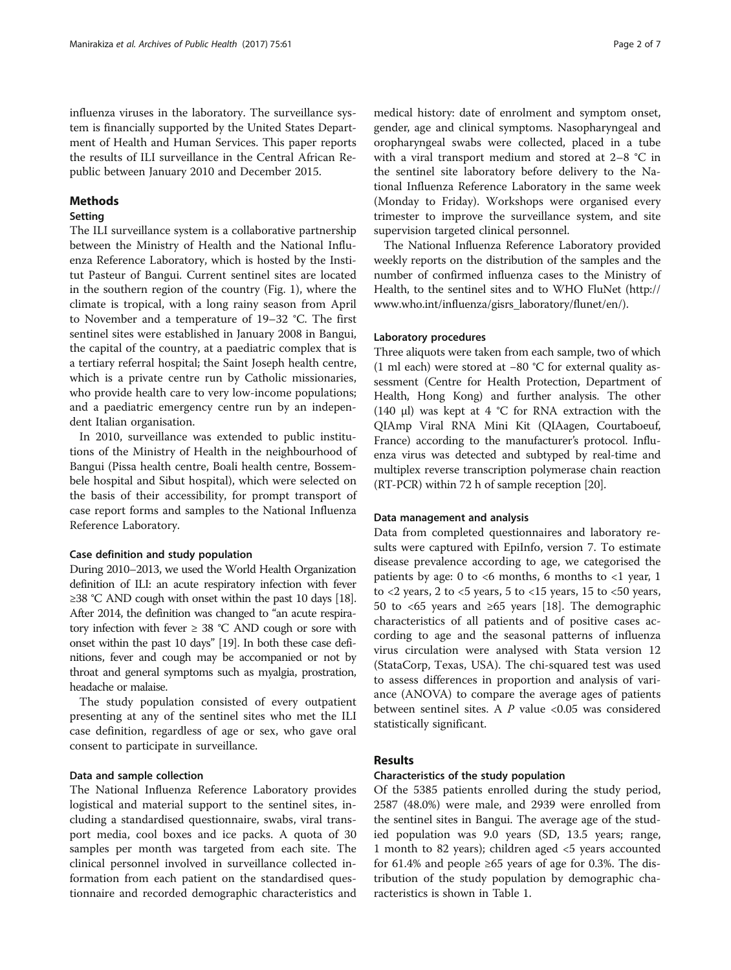influenza viruses in the laboratory. The surveillance system is financially supported by the United States Department of Health and Human Services. This paper reports the results of ILI surveillance in the Central African Republic between January 2010 and December 2015.

## Methods

## Setting

The ILI surveillance system is a collaborative partnership between the Ministry of Health and the National Influenza Reference Laboratory, which is hosted by the Institut Pasteur of Bangui. Current sentinel sites are located in the southern region of the country (Fig. [1](#page-2-0)), where the climate is tropical, with a long rainy season from April to November and a temperature of 19–32 °C. The first sentinel sites were established in January 2008 in Bangui, the capital of the country, at a paediatric complex that is a tertiary referral hospital; the Saint Joseph health centre, which is a private centre run by Catholic missionaries, who provide health care to very low-income populations; and a paediatric emergency centre run by an independent Italian organisation.

In 2010, surveillance was extended to public institutions of the Ministry of Health in the neighbourhood of Bangui (Pissa health centre, Boali health centre, Bossembele hospital and Sibut hospital), which were selected on the basis of their accessibility, for prompt transport of case report forms and samples to the National Influenza Reference Laboratory.

#### Case definition and study population

During 2010–2013, we used the World Health Organization definition of ILI: an acute respiratory infection with fever ≥38 °C AND cough with onset within the past 10 days [\[18\]](#page-5-0). After 2014, the definition was changed to "an acute respiratory infection with fever  $\geq 38$  °C AND cough or sore with onset within the past 10 days" [\[19](#page-5-0)]. In both these case definitions, fever and cough may be accompanied or not by throat and general symptoms such as myalgia, prostration, headache or malaise.

The study population consisted of every outpatient presenting at any of the sentinel sites who met the ILI case definition, regardless of age or sex, who gave oral consent to participate in surveillance.

## Data and sample collection

The National Influenza Reference Laboratory provides logistical and material support to the sentinel sites, including a standardised questionnaire, swabs, viral transport media, cool boxes and ice packs. A quota of 30 samples per month was targeted from each site. The clinical personnel involved in surveillance collected information from each patient on the standardised questionnaire and recorded demographic characteristics and

medical history: date of enrolment and symptom onset, gender, age and clinical symptoms. Nasopharyngeal and oropharyngeal swabs were collected, placed in a tube with a viral transport medium and stored at 2–8 °C in the sentinel site laboratory before delivery to the National Influenza Reference Laboratory in the same week (Monday to Friday). Workshops were organised every trimester to improve the surveillance system, and site supervision targeted clinical personnel.

The National Influenza Reference Laboratory provided weekly reports on the distribution of the samples and the number of confirmed influenza cases to the Ministry of Health, to the sentinel sites and to WHO FluNet ([http://](http://www.who.int/influenza/gisrs_laboratory/flunet/en/) [www.who.int/influenza/gisrs\\_laboratory/flunet/en/](http://www.who.int/influenza/gisrs_laboratory/flunet/en/)).

#### Laboratory procedures

Three aliquots were taken from each sample, two of which (1 ml each) were stored at −80 °C for external quality assessment (Centre for Health Protection, Department of Health, Hong Kong) and further analysis. The other (140 μl) was kept at 4 °C for RNA extraction with the QIAmp Viral RNA Mini Kit (QIAagen, Courtaboeuf, France) according to the manufacturer's protocol. Influenza virus was detected and subtyped by real-time and multiplex reverse transcription polymerase chain reaction (RT-PCR) within 72 h of sample reception [\[20\]](#page-5-0).

### Data management and analysis

Data from completed questionnaires and laboratory results were captured with EpiInfo, version 7. To estimate disease prevalence according to age, we categorised the patients by age: 0 to  $<6$  months, 6 months to  $<1$  year, 1 to  $<$ 2 years, 2 to  $<$ 5 years, 5 to  $<$ 15 years, 15 to  $<$ 50 years, 50 to <65 years and ≥65 years [[18\]](#page-5-0). The demographic characteristics of all patients and of positive cases according to age and the seasonal patterns of influenza virus circulation were analysed with Stata version 12 (StataCorp, Texas, USA). The chi-squared test was used to assess differences in proportion and analysis of variance (ANOVA) to compare the average ages of patients between sentinel sites. A  $P$  value <0.05 was considered statistically significant.

#### Results

#### Characteristics of the study population

Of the 5385 patients enrolled during the study period, 2587 (48.0%) were male, and 2939 were enrolled from the sentinel sites in Bangui. The average age of the studied population was 9.0 years (SD, 13.5 years; range, 1 month to 82 years); children aged <5 years accounted for 61.4% and people  $\geq 65$  years of age for 0.3%. The distribution of the study population by demographic characteristics is shown in Table [1](#page-3-0).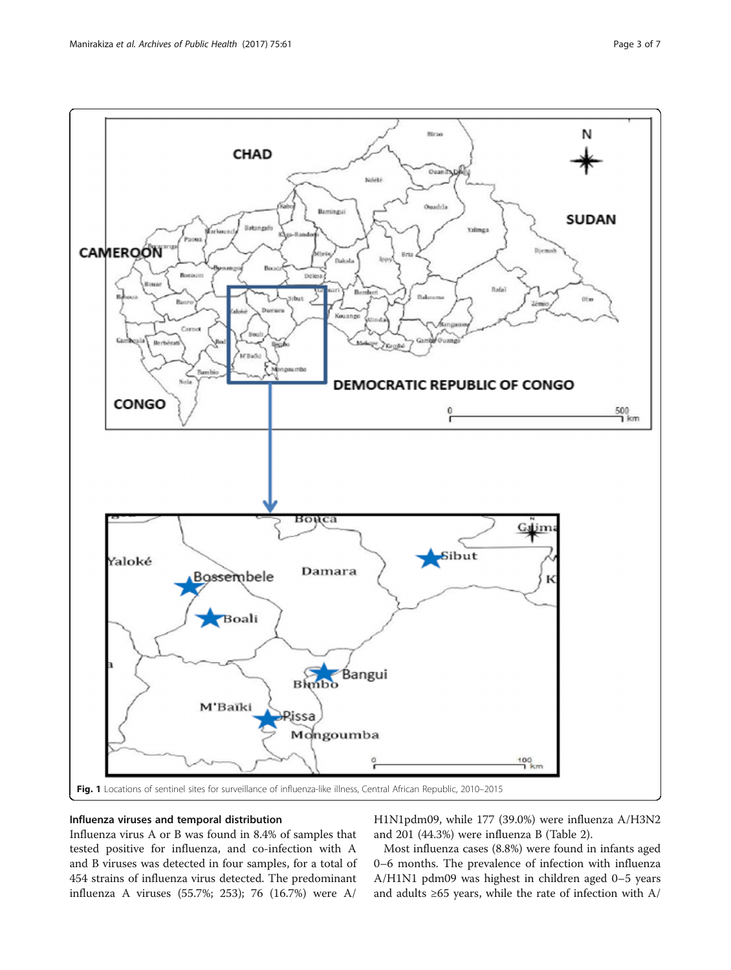<span id="page-2-0"></span>

## Influenza viruses and temporal distribution

Influenza virus A or B was found in 8.4% of samples that tested positive for influenza, and co-infection with A and B viruses was detected in four samples, for a total of 454 strains of influenza virus detected. The predominant influenza A viruses (55.7%; 253); 76 (16.7%) were A/

H1N1pdm09, while 177 (39.0%) were influenza A/H3N2 and 201 (44.3%) were influenza B (Table [2\)](#page-3-0).

Most influenza cases (8.8%) were found in infants aged 0–6 months. The prevalence of infection with influenza A/H1N1 pdm09 was highest in children aged 0–5 years and adults ≥65 years, while the rate of infection with A/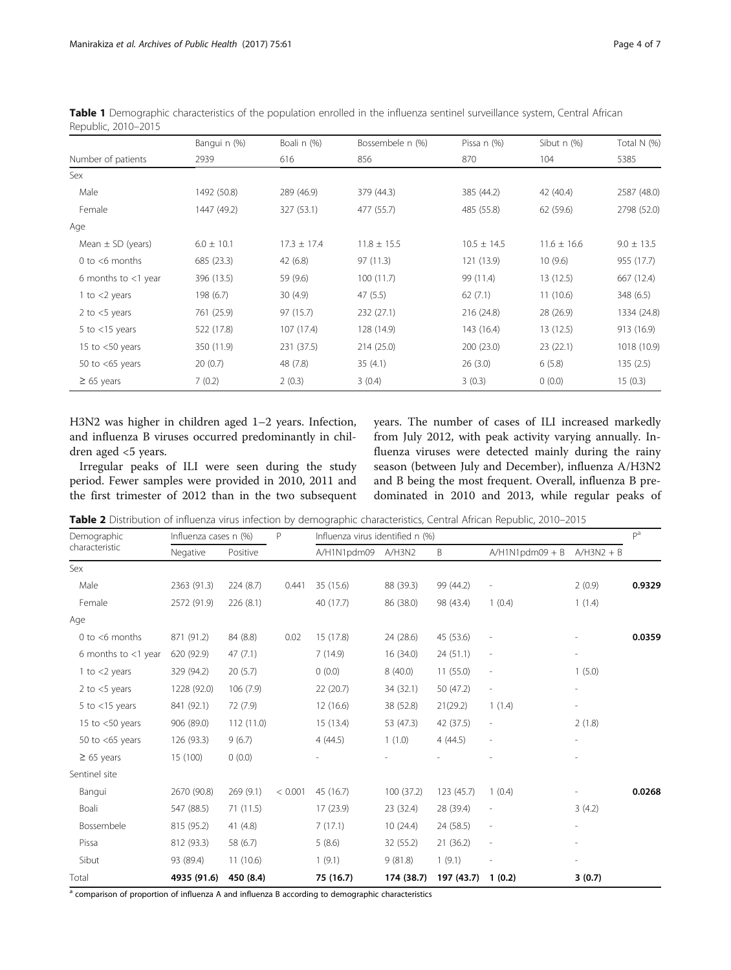|                        | Banguin (%)    | Boali n (%)     | Bossembele n (%) | Pissa n (%)     | Sibut n (%)     | Total N (%)    |
|------------------------|----------------|-----------------|------------------|-----------------|-----------------|----------------|
| Number of patients     | 2939           | 616             | 856              | 870             | 104             | 5385           |
| Sex                    |                |                 |                  |                 |                 |                |
| Male                   | 1492 (50.8)    | 289 (46.9)      | 379 (44.3)       | 385 (44.2)      | 42 (40.4)       | 2587 (48.0)    |
| Female                 | 1447 (49.2)    | 327 (53.1)      | 477 (55.7)       | 485 (55.8)      | 62 (59.6)       | 2798 (52.0)    |
| Age                    |                |                 |                  |                 |                 |                |
| Mean $\pm$ SD (years)  | $6.0 \pm 10.1$ | $17.3 \pm 17.4$ | $11.8 \pm 15.5$  | $10.5 \pm 14.5$ | $11.6 \pm 16.6$ | $9.0 \pm 13.5$ |
| 0 to $<$ 6 months      | 685 (23.3)     | 42(6.8)         | 97 (11.3)        | 121 (13.9)      | 10(9.6)         | 955 (17.7)     |
| 6 months to $<$ 1 year | 396 (13.5)     | 59 (9.6)        | 100(11.7)        | 99 (11.4)       | 13(12.5)        | 667 (12.4)     |
| 1 to $<$ 2 years       | 198 (6.7)      | 30(4.9)         | 47(5.5)          | 62(7.1)         | 11(10.6)        | 348 (6.5)      |
| 2 to $<$ 5 years       | 761 (25.9)     | 97 (15.7)       | 232(27.1)        | 216 (24.8)      | 28 (26.9)       | 1334 (24.8)    |
| 5 to $<$ 15 years      | 522 (17.8)     | 107 (17.4)      | 128 (14.9)       | 143 (16.4)      | 13 (12.5)       | 913 (16.9)     |
| 15 to $<$ 50 years     | 350 (11.9)     | 231 (37.5)      | 214(25.0)        | 200(23.0)       | 23(22.1)        | 1018 (10.9)    |
| 50 to $<$ 65 years     | 20(0.7)        | 48 (7.8)        | 35(4.1)          | 26(3.0)         | 6(5.8)          | 135(2.5)       |
| $\geq 65$ years        | 7(0.2)         | 2(0.3)          | 3(0.4)           | 3(0.3)          | 0(0.0)          | 15(0.3)        |

<span id="page-3-0"></span>Table 1 Demographic characteristics of the population enrolled in the influenza sentinel surveillance system, Central African Republic, 2010–2015

H3N2 was higher in children aged 1–2 years. Infection, and influenza B viruses occurred predominantly in children aged <5 years.

Irregular peaks of ILI were seen during the study period. Fewer samples were provided in 2010, 2011 and the first trimester of 2012 than in the two subsequent years. The number of cases of ILI increased markedly from July 2012, with peak activity varying annually. Influenza viruses were detected mainly during the rainy season (between July and December), influenza A/H3N2 and B being the most frequent. Overall, influenza B predominated in 2010 and 2013, while regular peaks of

Table 2 Distribution of influenza virus infection by demographic characteristics, Central African Republic, 2010–2015

| Demographic<br>characteristic | Influenza cases n (%) |            | P       | Influenza virus identified n (%) |            |            |                          | $\mathsf{p}^{\mathsf{a}}$ |        |
|-------------------------------|-----------------------|------------|---------|----------------------------------|------------|------------|--------------------------|---------------------------|--------|
|                               | Negative              | Positive   |         | A/H1N1pdm09                      | A/H3N2     | B          | $A/H1N1pdm09 + B$        | $A/H3N2 + B$              |        |
| Sex                           |                       |            |         |                                  |            |            |                          |                           |        |
| Male                          | 2363 (91.3)           | 224 (8.7)  | 0.441   | 35 (15.6)                        | 88 (39.3)  | 99 (44.2)  |                          | 2(0.9)                    | 0.9329 |
| Female                        | 2572 (91.9)           | 226(8.1)   |         | 40 (17.7)                        | 86 (38.0)  | 98 (43.4)  | 1(0.4)                   | 1(1.4)                    |        |
| Age                           |                       |            |         |                                  |            |            |                          |                           |        |
| 0 to $<$ 6 months             | 871 (91.2)            | 84 (8.8)   | 0.02    | 15 (17.8)                        | 24 (28.6)  | 45 (53.6)  |                          |                           | 0.0359 |
| 6 months to $<$ 1 year        | 620 (92.9)            | 47(7.1)    |         | 7(14.9)                          | 16 (34.0)  | 24(51.1)   | $\overline{a}$           |                           |        |
| 1 to $<$ 2 years              | 329 (94.2)            | 20(5.7)    |         | 0(0.0)                           | 8(40.0)    | 11(55.0)   | $\overline{\phantom{a}}$ | 1(5.0)                    |        |
| 2 to $<$ 5 years              | 1228 (92.0)           | 106 (7.9)  |         | 22(20.7)                         | 34 (32.1)  | 50 (47.2)  | $\overline{\phantom{a}}$ | $\overline{\phantom{a}}$  |        |
| 5 to $<$ 15 years             | 841 (92.1)            | 72 (7.9)   |         | 12 (16.6)                        | 38 (52.8)  | 21(29.2)   | 1(1.4)                   | $\overline{\phantom{a}}$  |        |
| 15 to $<$ 50 years            | 906 (89.0)            | 112 (11.0) |         | 15 (13.4)                        | 53 (47.3)  | 42 (37.5)  | $\overline{\phantom{a}}$ | 2(1.8)                    |        |
| 50 to $<$ 65 years            | 126(93.3)             | 9(6.7)     |         | 4(44.5)                          | 1(1.0)     | 4(44.5)    |                          |                           |        |
| $\geq 65$ years               | 15 (100)              | 0(0.0)     |         |                                  |            |            |                          | $\overline{\phantom{a}}$  |        |
| Sentinel site                 |                       |            |         |                                  |            |            |                          |                           |        |
| Bangui                        | 2670 (90.8)           | 269(9.1)   | < 0.001 | 45 (16.7)                        | 100(37.2)  | 123 (45.7) | 1(0.4)                   |                           | 0.0268 |
| Boali                         | 547 (88.5)            | 71 (11.5)  |         | 17 (23.9)                        | 23 (32.4)  | 28 (39.4)  | $\overline{a}$           | 3(4.2)                    |        |
| Bossembele                    | 815 (95.2)            | 41(4.8)    |         | 7(17.1)                          | 10(24.4)   | 24 (58.5)  | $\overline{a}$           | $\overline{\phantom{a}}$  |        |
| Pissa                         | 812 (93.3)            | 58 (6.7)   |         | 5(8.6)                           | 32 (55.2)  | 21(36.2)   | $\overline{\phantom{a}}$ |                           |        |
| Sibut                         | 93 (89.4)             | 11(10.6)   |         | 1(9.1)                           | 9(81.8)    | 1(9.1)     |                          |                           |        |
| Total                         | 4935 (91.6)           | 450 (8.4)  |         | 75 (16.7)                        | 174 (38.7) | 197 (43.7) | 1(0.2)                   | 3(0.7)                    |        |

a comparison of proportion of influenza A and influenza B according to demographic characteristics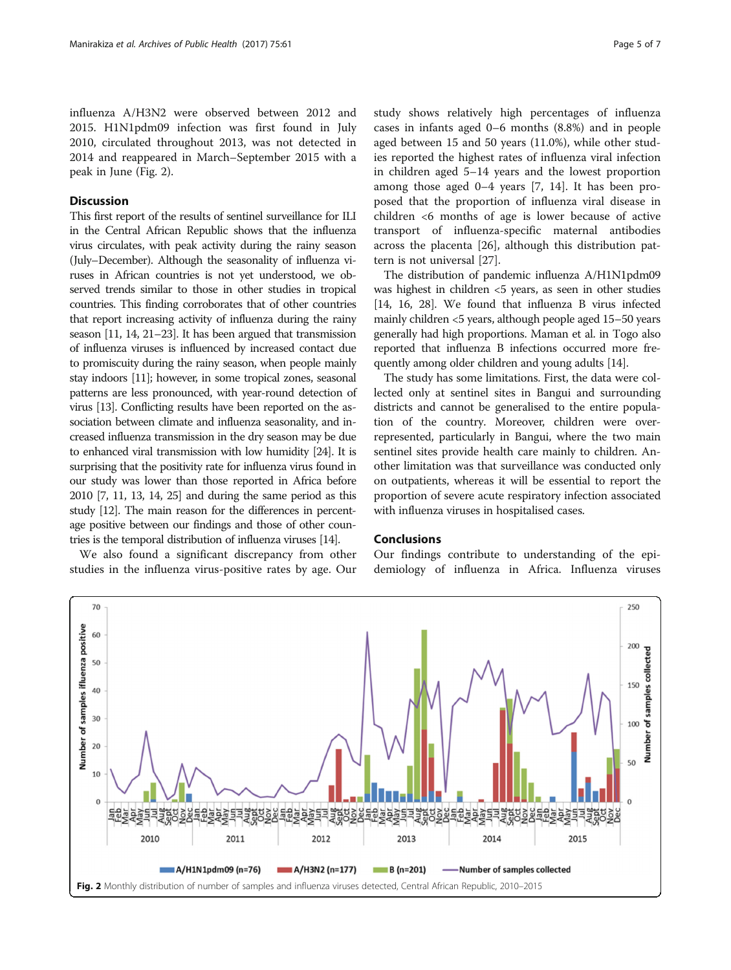influenza A/H3N2 were observed between 2012 and 2015. H1N1pdm09 infection was first found in July 2010, circulated throughout 2013, was not detected in 2014 and reappeared in March–September 2015 with a peak in June (Fig. 2).

## **Discussion**

This first report of the results of sentinel surveillance for ILI in the Central African Republic shows that the influenza virus circulates, with peak activity during the rainy season (July–December). Although the seasonality of influenza viruses in African countries is not yet understood, we observed trends similar to those in other studies in tropical countries. This finding corroborates that of other countries that report increasing activity of influenza during the rainy season [\[11](#page-5-0), [14, 21](#page-5-0)–[23\]](#page-6-0). It has been argued that transmission of influenza viruses is influenced by increased contact due to promiscuity during the rainy season, when people mainly stay indoors [\[11](#page-5-0)]; however, in some tropical zones, seasonal patterns are less pronounced, with year-round detection of virus [\[13\]](#page-5-0). Conflicting results have been reported on the association between climate and influenza seasonality, and increased influenza transmission in the dry season may be due to enhanced viral transmission with low humidity [\[24](#page-6-0)]. It is surprising that the positivity rate for influenza virus found in our study was lower than those reported in Africa before 2010 [[7](#page-5-0), [11](#page-5-0), [13, 14](#page-5-0), [25](#page-6-0)] and during the same period as this study [[12](#page-5-0)]. The main reason for the differences in percentage positive between our findings and those of other countries is the temporal distribution of influenza viruses [\[14](#page-5-0)].

We also found a significant discrepancy from other studies in the influenza virus-positive rates by age. Our study shows relatively high percentages of influenza cases in infants aged 0–6 months (8.8%) and in people aged between 15 and 50 years (11.0%), while other studies reported the highest rates of influenza viral infection in children aged 5–14 years and the lowest proportion among those aged 0–4 years [[7, 14\]](#page-5-0). It has been proposed that the proportion of influenza viral disease in children <6 months of age is lower because of active transport of influenza-specific maternal antibodies across the placenta [\[26](#page-6-0)], although this distribution pattern is not universal [[27\]](#page-6-0).

The distribution of pandemic influenza A/H1N1pdm09 was highest in children <5 years, as seen in other studies [[14](#page-5-0), [16](#page-5-0), [28](#page-6-0)]. We found that influenza B virus infected mainly children <5 years, although people aged 15–50 years generally had high proportions. Maman et al. in Togo also reported that influenza B infections occurred more frequently among older children and young adults [[14](#page-5-0)].

The study has some limitations. First, the data were collected only at sentinel sites in Bangui and surrounding districts and cannot be generalised to the entire population of the country. Moreover, children were overrepresented, particularly in Bangui, where the two main sentinel sites provide health care mainly to children. Another limitation was that surveillance was conducted only on outpatients, whereas it will be essential to report the proportion of severe acute respiratory infection associated with influenza viruses in hospitalised cases.

#### Conclusions

Our findings contribute to understanding of the epidemiology of influenza in Africa. Influenza viruses

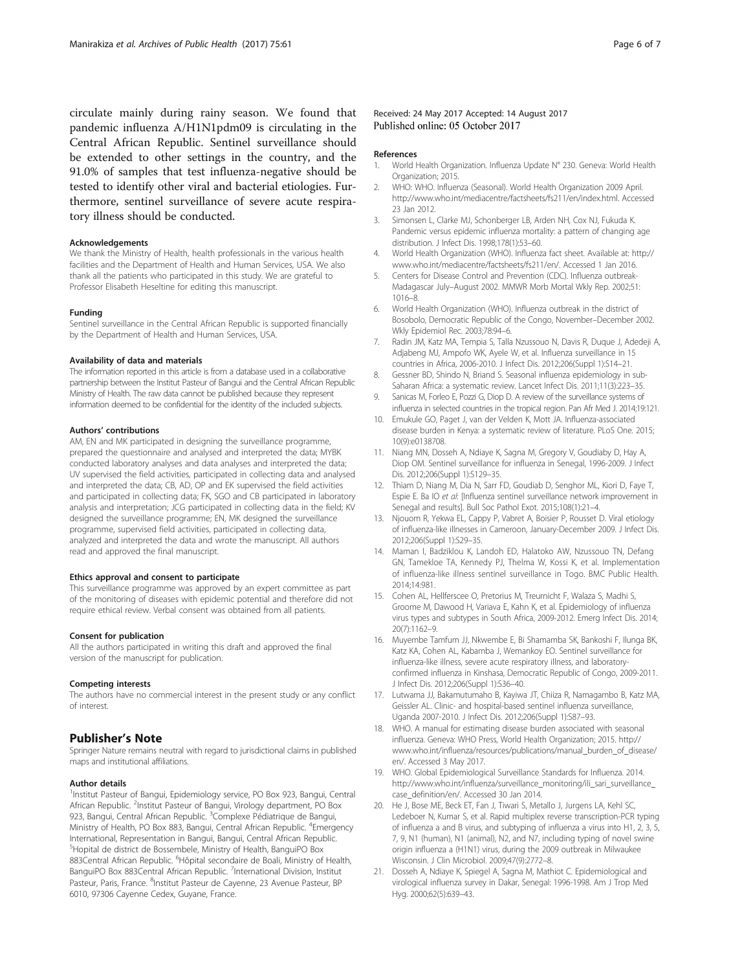<span id="page-5-0"></span>circulate mainly during rainy season. We found that pandemic influenza A/H1N1pdm09 is circulating in the Central African Republic. Sentinel surveillance should be extended to other settings in the country, and the 91.0% of samples that test influenza-negative should be tested to identify other viral and bacterial etiologies. Furthermore, sentinel surveillance of severe acute respiratory illness should be conducted.

#### Acknowledgements

We thank the Ministry of Health, health professionals in the various health facilities and the Department of Health and Human Services, USA. We also thank all the patients who participated in this study. We are grateful to Professor Elisabeth Heseltine for editing this manuscript.

#### Funding

Sentinel surveillance in the Central African Republic is supported financially by the Department of Health and Human Services, USA.

#### Availability of data and materials

The information reported in this article is from a database used in a collaborative partnership between the Institut Pasteur of Bangui and the Central African Republic Ministry of Health. The raw data cannot be published because they represent information deemed to be confidential for the identity of the included subjects.

#### Authors' contributions

AM, EN and MK participated in designing the surveillance programme, prepared the questionnaire and analysed and interpreted the data; MYBK conducted laboratory analyses and data analyses and interpreted the data; UV supervised the field activities, participated in collecting data and analysed and interpreted the data; CB, AD, OP and EK supervised the field activities and participated in collecting data; FK, SGO and CB participated in laboratory analysis and interpretation; JCG participated in collecting data in the field; KV designed the surveillance programme; EN, MK designed the surveillance programme, supervised field activities, participated in collecting data, analyzed and interpreted the data and wrote the manuscript. All authors read and approved the final manuscript.

#### Ethics approval and consent to participate

This surveillance programme was approved by an expert committee as part of the monitoring of diseases with epidemic potential and therefore did not require ethical review. Verbal consent was obtained from all patients.

#### Consent for publication

All the authors participated in writing this draft and approved the final version of the manuscript for publication.

#### Competing interests

The authors have no commercial interest in the present study or any conflict of interest.

## Publisher's Note

Springer Nature remains neutral with regard to jurisdictional claims in published maps and institutional affiliations.

#### Author details

<sup>1</sup>Institut Pasteur of Bangui, Epidemiology service, PO Box 923, Bangui, Central African Republic. <sup>2</sup>Institut Pasteur of Bangui, Virology department, PO Box 923, Bangui, Central African Republic. <sup>3</sup>Complexe Pédiatrique de Bangui, Ministry of Health, PO Box 883, Bangui, Central African Republic. <sup>4</sup>Emergency International, Representation in Bangui, Bangui, Central African Republic. 5 Hopital de district de Bossembele, Ministry of Health, BanguiPO Box 883Central African Republic. <sup>6</sup>Hôpital secondaire de Boali, Ministry of Health, BanguiPO Box 883Central African Republic. <sup>7</sup>International Division, Institut Pasteur, Paris, France. <sup>8</sup>Institut Pasteur de Cayenne, 23 Avenue Pasteur, BP 6010, 97306 Cayenne Cedex, Guyane, France.

#### Received: 24 May 2017 Accepted: 14 August 2017 Published online: 05 October 2017

#### References

- 1. World Health Organization. Influenza Update N° 230. Geneva: World Health Organization; 2015.
- 2. WHO: WHO. Influenza (Seasonal). World Health Organization 2009 April. [http://www.who.int/mediacentre/factsheets/fs211/en/index.html.](http://www.who.int/mediacentre/factsheets/fs211/en/index.html) Accessed 23 Jan 2012.
- 3. Simonsen L, Clarke MJ, Schonberger LB, Arden NH, Cox NJ, Fukuda K. Pandemic versus epidemic influenza mortality: a pattern of changing age distribution. J Infect Dis. 1998;178(1):53–60.
- 4. World Health Organization (WHO). Influenza fact sheet. Available at: [http://](http://www.who.int/mediacentre/factsheets/fs211/en) [www.who.int/mediacentre/factsheets/fs211/en/.](http://www.who.int/mediacentre/factsheets/fs211/en) Accessed 1 Jan 2016.
- 5. Centers for Disease Control and Prevention (CDC). Influenza outbreak-Madagascar July–August 2002. MMWR Morb Mortal Wkly Rep. 2002;51: 1016–8.
- 6. World Health Organization (WHO). Influenza outbreak in the district of Bosobolo, Democratic Republic of the Congo, November–December 2002. Wkly Epidemiol Rec. 2003;78:94–6.
- 7. Radin JM, Katz MA, Tempia S, Talla Nzussouo N, Davis R, Duque J, Adedeji A, Adjabeng MJ, Ampofo WK, Ayele W, et al. Influenza surveillance in 15 countries in Africa, 2006-2010. J Infect Dis. 2012;206(Suppl 1):S14–21.
- 8. Gessner BD, Shindo N, Briand S. Seasonal influenza epidemiology in sub-Saharan Africa: a systematic review. Lancet Infect Dis. 2011;11(3):223–35.
- 9. Sanicas M, Forleo E, Pozzi G, Diop D. A review of the surveillance systems of influenza in selected countries in the tropical region. Pan Afr Med J. 2014;19:121.
- 10. Emukule GO, Paget J, van der Velden K, Mott JA. Influenza-associated disease burden in Kenya: a systematic review of literature. PLoS One. 2015; 10(9):e0138708.
- 11. Niang MN, Dosseh A, Ndiaye K, Sagna M, Gregory V, Goudiaby D, Hay A, Diop OM. Sentinel surveillance for influenza in Senegal, 1996-2009. J Infect Dis. 2012;206(Suppl 1):S129–35.
- 12. Thiam D, Niang M, Dia N, Sarr FD, Goudiab D, Senghor ML, Kiori D, Faye T, Espie E. Ba IO et al: [Influenza sentinel surveillance network improvement in Senegal and results]. Bull Soc Pathol Exot. 2015;108(1):21–4.
- 13. Njouom R, Yekwa EL, Cappy P, Vabret A, Boisier P, Rousset D. Viral etiology of influenza-like illnesses in Cameroon, January-December 2009. J Infect Dis. 2012;206(Suppl 1):S29–35.
- 14. Maman I, Badziklou K, Landoh ED, Halatoko AW, Nzussouo TN, Defang GN, Tamekloe TA, Kennedy PJ, Thelma W, Kossi K, et al. Implementation of influenza-like illness sentinel surveillance in Togo. BMC Public Health. 2014;14:981.
- 15. Cohen AL, Hellferscee O, Pretorius M, Treurnicht F, Walaza S, Madhi S, Groome M, Dawood H, Variava E, Kahn K, et al. Epidemiology of influenza virus types and subtypes in South Africa, 2009-2012. Emerg Infect Dis. 2014; 20(7):1162–9.
- 16. Muyembe Tamfum JJ, Nkwembe E, Bi Shamamba SK, Bankoshi F, Ilunga BK, Katz KA, Cohen AL, Kabamba J, Wemankoy EO. Sentinel surveillance for influenza-like illness, severe acute respiratory illness, and laboratoryconfirmed influenza in Kinshasa, Democratic Republic of Congo, 2009-2011. J Infect Dis. 2012;206(Suppl 1):S36–40.
- 17. Lutwama JJ, Bakamutumaho B, Kayiwa JT, Chiiza R, Namagambo B, Katz MA, Geissler AL. Clinic- and hospital-based sentinel influenza surveillance, Uganda 2007-2010. J Infect Dis. 2012;206(Suppl 1):S87–93.
- 18. WHO. A manual for estimating disease burden associated with seasonal influenza. Geneva: WHO Press, World Health Organization; 2015. [http://](http://www.who.int/influenza/resources/publications/manual_burden_of_disease/en) [www.who.int/influenza/resources/publications/manual\\_burden\\_of\\_disease/](http://www.who.int/influenza/resources/publications/manual_burden_of_disease/en) [en/](http://www.who.int/influenza/resources/publications/manual_burden_of_disease/en). Accessed 3 May 2017.
- 19. WHO. Global Epidemiological Surveillance Standards for Influenza. 2014. [http://www.who.int/influenza/surveillance\\_monitoring/ili\\_sari\\_surveillance\\_](http://www.who.int/influenza/surveillance_monitoring/ili_sari_surveillance_case_definition/en/) [case\\_definition/en/.](http://www.who.int/influenza/surveillance_monitoring/ili_sari_surveillance_case_definition/en/) Accessed 30 Jan 2014.
- 20. He J, Bose ME, Beck ET, Fan J, Tiwari S, Metallo J, Jurgens LA, Kehl SC, Ledeboer N, Kumar S, et al. Rapid multiplex reverse transcription-PCR typing of influenza a and B virus, and subtyping of influenza a virus into H1, 2, 3, 5, 7, 9, N1 (human), N1 (animal), N2, and N7, including typing of novel swine origin influenza a (H1N1) virus, during the 2009 outbreak in Milwaukee Wisconsin. J Clin Microbiol. 2009;47(9):2772–8.
- 21. Dosseh A, Ndiaye K, Spiegel A, Sagna M, Mathiot C. Epidemiological and virological influenza survey in Dakar, Senegal: 1996-1998. Am J Trop Med Hyg. 2000;62(5):639–43.